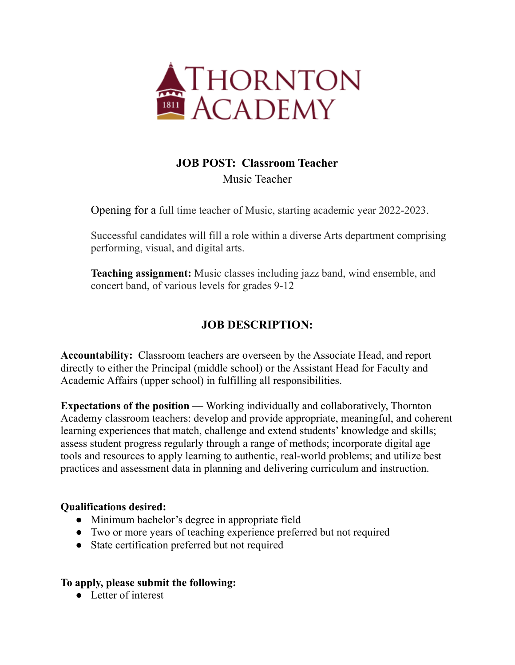

## **JOB POST: Classroom Teacher** Music Teacher

Opening for a full time teacher of Music, starting academic year 2022-2023.

Successful candidates will fill a role within a diverse Arts department comprising performing, visual, and digital arts.

**Teaching assignment:** Music classes including jazz band, wind ensemble, and concert band, of various levels for grades 9-12

## **JOB DESCRIPTION:**

**Accountability:** Classroom teachers are overseen by the Associate Head, and report directly to either the Principal (middle school) or the Assistant Head for Faculty and Academic Affairs (upper school) in fulfilling all responsibilities.

**Expectations of the position —** Working individually and collaboratively, Thornton Academy classroom teachers: develop and provide appropriate, meaningful, and coherent learning experiences that match, challenge and extend students' knowledge and skills; assess student progress regularly through a range of methods; incorporate digital age tools and resources to apply learning to authentic, real-world problems; and utilize best practices and assessment data in planning and delivering curriculum and instruction.

## **Qualifications desired:**

- Minimum bachelor's degree in appropriate field
- Two or more years of teaching experience preferred but not required
- State certification preferred but not required

## **To apply, please submit the following:**

• Letter of interest